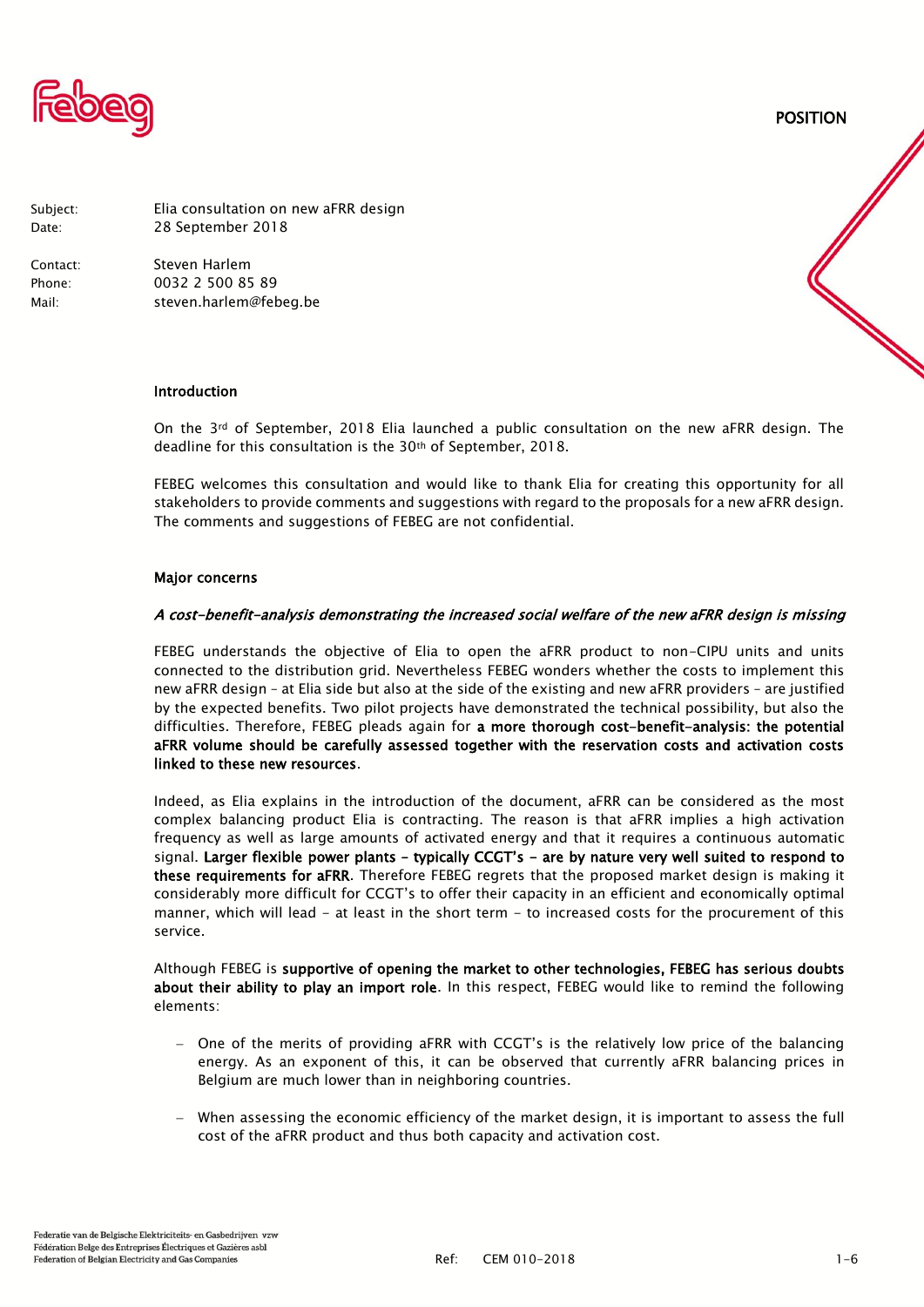

POSITION

Subject: Elia consultation on new aFRR design Date: 28 September 2018

Contact: Steven Harlem Phone: 0032 2 500 85 89 Mail: steven.harlem@febeg.be

#### Introduction

On the 3rd of September, 2018 Elia launched a public consultation on the new aFRR design. The deadline for this consultation is the 30th of September, 2018.

FEBEG welcomes this consultation and would like to thank Elia for creating this opportunity for all stakeholders to provide comments and suggestions with regard to the proposals for a new aFRR design. The comments and suggestions of FEBEG are not confidential.

#### Major concerns

#### A cost-benefit-analysis demonstrating the increased social welfare of the new aFRR design is missing

FEBEG understands the objective of Elia to open the aFRR product to non-CIPU units and units connected to the distribution grid. Nevertheless FEBEG wonders whether the costs to implement this new aFRR design – at Elia side but also at the side of the existing and new aFRR providers – are justified by the expected benefits. Two pilot projects have demonstrated the technical possibility, but also the difficulties. Therefore, FEBEG pleads again for a more thorough cost-benefit-analysis: the potential aFRR volume should be carefully assessed together with the reservation costs and activation costs linked to these new resources.

Indeed, as Elia explains in the introduction of the document, aFRR can be considered as the most complex balancing product Elia is contracting. The reason is that aFRR implies a high activation frequency as well as large amounts of activated energy and that it requires a continuous automatic signal. Larger flexible power plants – typically CCGT's - are by nature very well suited to respond to these requirements for aFRR. Therefore FEBEG regrets that the proposed market design is making it considerably more difficult for CCGT's to offer their capacity in an efficient and economically optimal manner, which will lead - at least in the short term - to increased costs for the procurement of this service.

Although FEBEG is supportive of opening the market to other technologies, FEBEG has serious doubts about their ability to play an import role. In this respect, FEBEG would like to remind the following elements:

- One of the merits of providing aFRR with CCGT's is the relatively low price of the balancing energy. As an exponent of this, it can be observed that currently aFRR balancing prices in Belgium are much lower than in neighboring countries.
- When assessing the economic efficiency of the market design, it is important to assess the full cost of the aFRR product and thus both capacity and activation cost.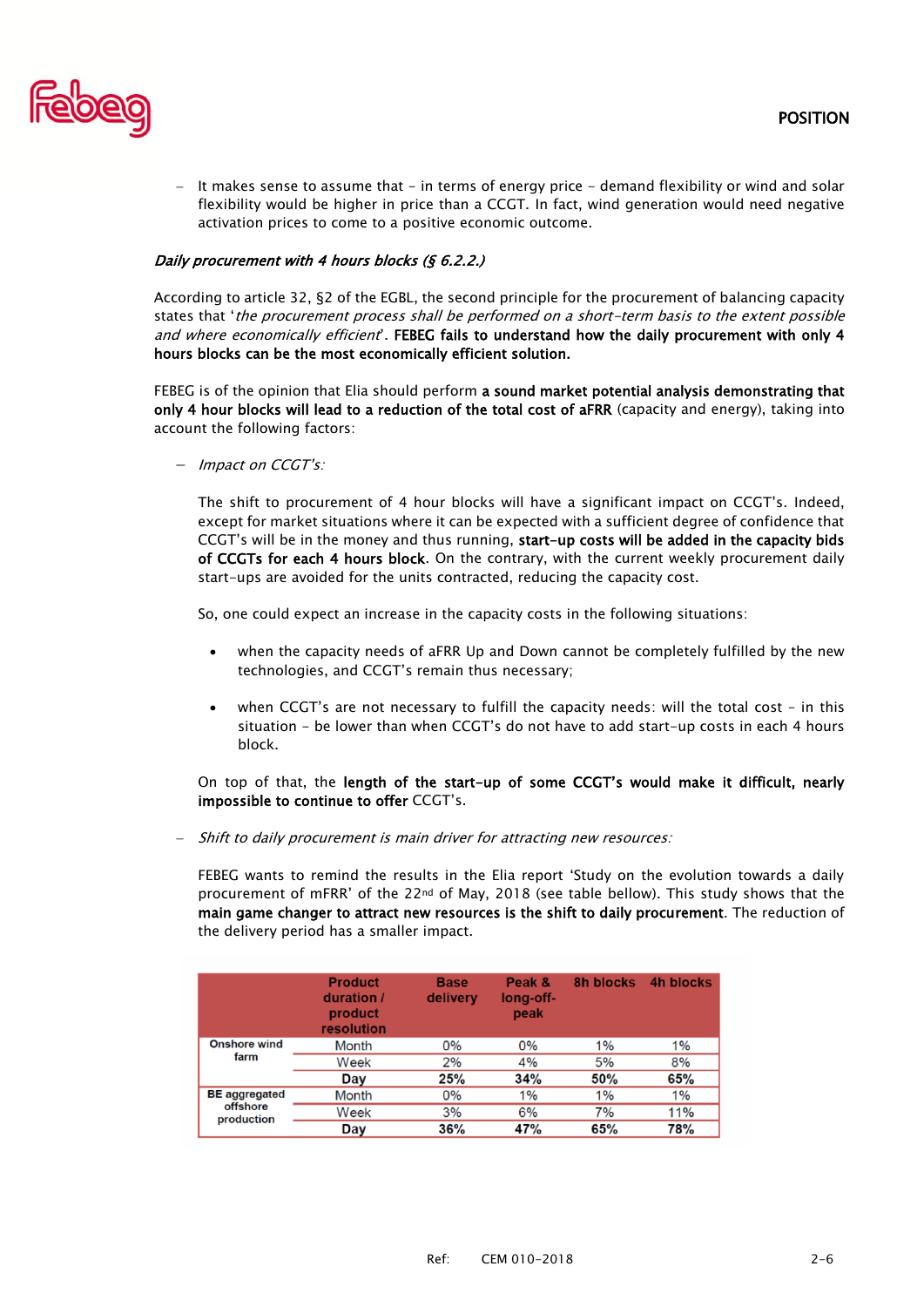

 $-$  It makes sense to assume that  $-$  in terms of energy price  $-$  demand flexibility or wind and solar flexibility would be higher in price than a CCGT. In fact, wind generation would need negative activation prices to come to a positive economic outcome.

# Daily procurement with 4 hours blocks (§ 6.2.2.)

According to article 32, §2 of the EGBL, the second principle for the procurement of balancing capacity states that 'the procurement process shall be performed on a short-term basis to the extent possible and where economically efficient. FEBEG fails to understand how the daily procurement with only 4 hours blocks can be the most economically efficient solution.

FEBEG is of the opinion that Elia should perform a sound market potential analysis demonstrating that only 4 hour blocks will lead to a reduction of the total cost of aFRR (capacity and energy), taking into account the following factors:

- Impact on CCGT's:

The shift to procurement of 4 hour blocks will have a significant impact on CCGT's. Indeed, except for market situations where it can be expected with a sufficient degree of confidence that CCGT's will be in the money and thus running, start-up costs will be added in the capacity bids of CCGTs for each 4 hours block. On the contrary, with the current weekly procurement daily start-ups are avoided for the units contracted, reducing the capacity cost.

So, one could expect an increase in the capacity costs in the following situations:

- when the capacity needs of aFRR Up and Down cannot be completely fulfilled by the new technologies, and CCGT's remain thus necessary;
- when CCGT's are not necessary to fulfill the capacity needs: will the total cost in this situation - be lower than when CCGT's do not have to add start-up costs in each 4 hours block.

On top of that, the length of the start-up of some CCGT's would make it difficult, nearly impossible to continue to offer CCGT's.

- Shift to daily procurement is main driver for attracting new resources:

FEBEG wants to remind the results in the Elia report 'Study on the evolution towards a daily procurement of mFRR' of the 22nd of May, 2018 (see table bellow). This study shows that the main game changer to attract new resources is the shift to daily procurement. The reduction of the delivery period has a smaller impact.

|                                                | <b>Product</b><br>duration /<br>product<br>resolution | <b>Base</b><br>delivery | Peak &<br>long-off-<br>peak | 8h blocks | 4h blocks |
|------------------------------------------------|-------------------------------------------------------|-------------------------|-----------------------------|-----------|-----------|
| <b>Onshore wind</b><br>farm                    | Month                                                 | $0\%$                   | $0\%$                       | 1%        | 1%        |
|                                                | Week                                                  | 2%                      | 4%                          | 5%        | 8%        |
|                                                | Day                                                   | 25%                     | 34%                         | 50%       | 65%       |
| <b>BE</b> aggregated<br>offshore<br>production | Month                                                 | $0\%$                   | 1%                          | 1%        | 1%        |
|                                                | Week                                                  | 3%                      | 6%                          | 7%        | 11%       |
|                                                | Day                                                   | 36%                     | 47%                         | 65%       | 78%       |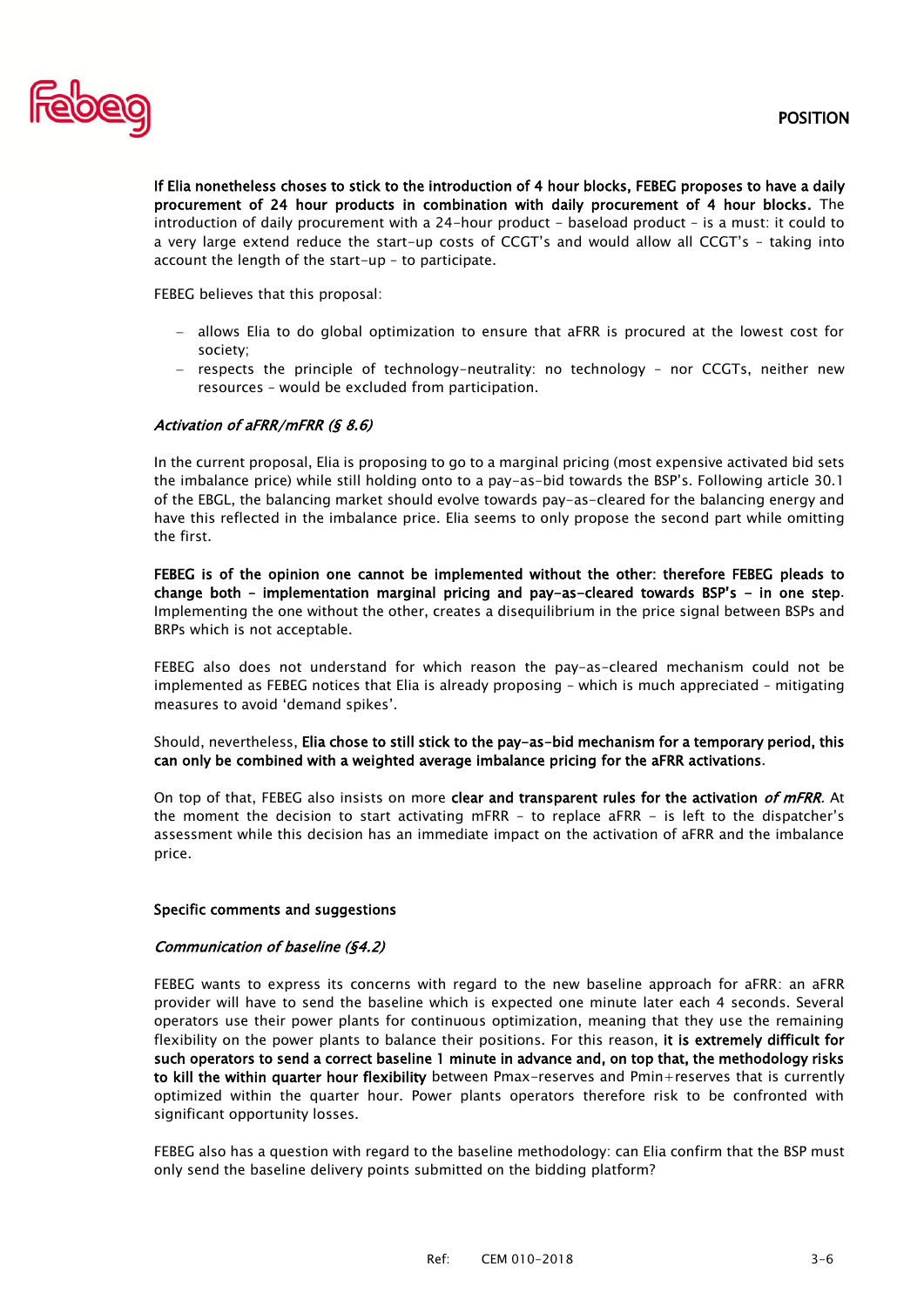

If Elia nonetheless choses to stick to the introduction of 4 hour blocks, FEBEG proposes to have a daily procurement of 24 hour products in combination with daily procurement of 4 hour blocks. The introduction of daily procurement with a 24-hour product - baseload product - is a must: it could to a very large extend reduce the start-up costs of CCGT's and would allow all CCGT's – taking into account the length of the start-up – to participate.

FEBEG believes that this proposal:

- allows Elia to do global optimization to ensure that aFRR is procured at the lowest cost for society;
- $-$  respects the principle of technology-neutrality: no technology nor CCGTs, neither new resources – would be excluded from participation.

## Activation of aFRR/mFRR (§ 8.6)

In the current proposal, Elia is proposing to go to a marginal pricing (most expensive activated bid sets the imbalance price) while still holding onto to a pay-as-bid towards the BSP's. Following article 30.1 of the EBGL, the balancing market should evolve towards pay-as-cleared for the balancing energy and have this reflected in the imbalance price. Elia seems to only propose the second part while omitting the first.

FEBEG is of the opinion one cannot be implemented without the other: therefore FEBEG pleads to change both – implementation marginal pricing and pay-as-cleared towards BSP's - in one step. Implementing the one without the other, creates a disequilibrium in the price signal between BSPs and BRPs which is not acceptable.

FEBEG also does not understand for which reason the pay-as-cleared mechanism could not be implemented as FEBEG notices that Elia is already proposing – which is much appreciated – mitigating measures to avoid 'demand spikes'.

Should, nevertheless, Elia chose to still stick to the pay-as-bid mechanism for a temporary period, this can only be combined with a weighted average imbalance pricing for the aFRR activations.

On top of that, FEBEG also insists on more clear and transparent rules for the activation of mFRR. At the moment the decision to start activating mFRR – to replace aFRR - is left to the dispatcher's assessment while this decision has an immediate impact on the activation of aFRR and the imbalance price.

### Specific comments and suggestions

### Communication of baseline (§4.2)

FEBEG wants to express its concerns with regard to the new baseline approach for aFRR: an aFRR provider will have to send the baseline which is expected one minute later each 4 seconds. Several operators use their power plants for continuous optimization, meaning that they use the remaining flexibility on the power plants to balance their positions. For this reason, it is extremely difficult for such operators to send a correct baseline 1 minute in advance and, on top that, the methodology risks to kill the within quarter hour flexibility between Pmax-reserves and Pmin+reserves that is currently optimized within the quarter hour. Power plants operators therefore risk to be confronted with significant opportunity losses.

FEBEG also has a question with regard to the baseline methodology: can Elia confirm that the BSP must only send the baseline delivery points submitted on the bidding platform?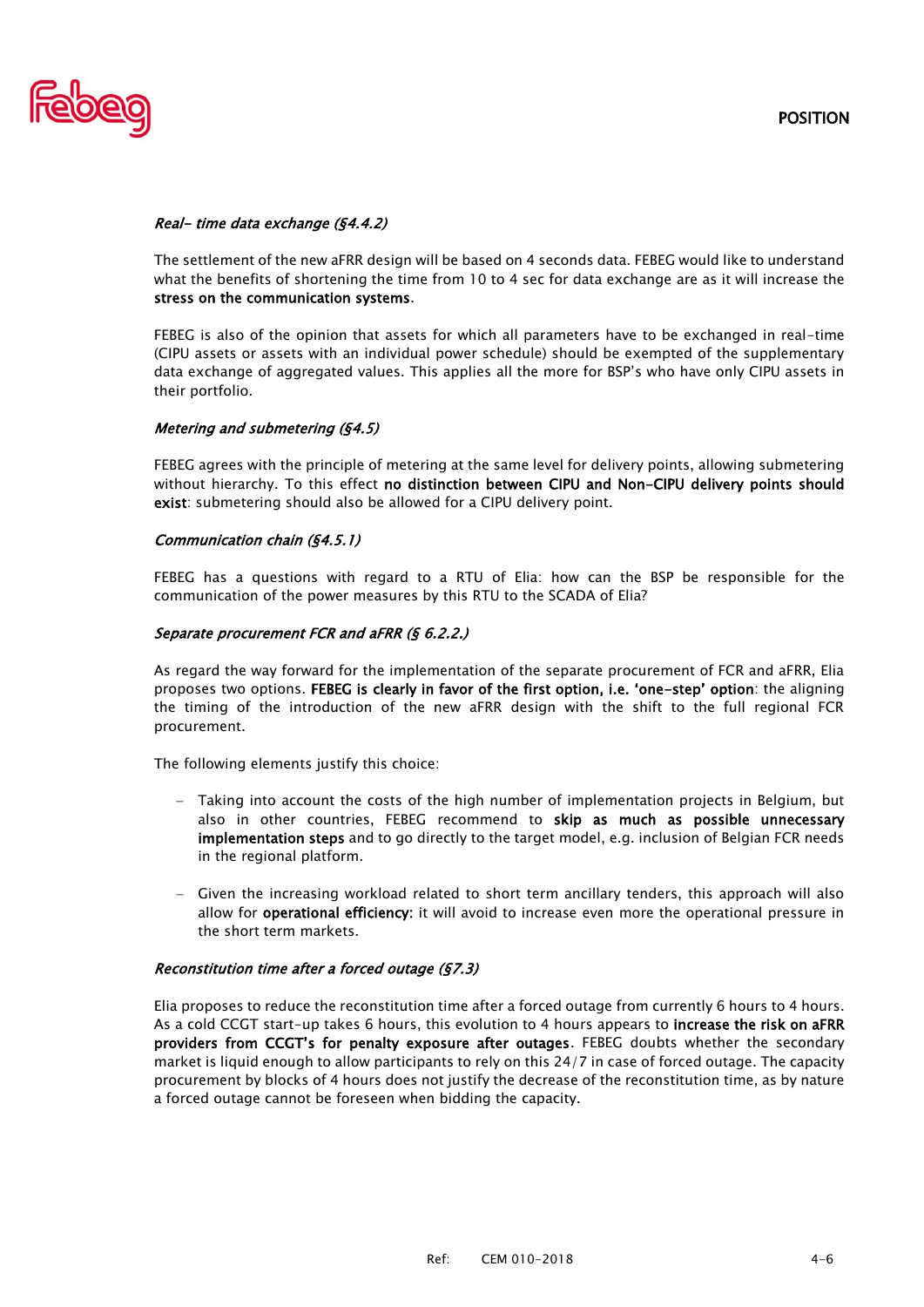

# Real- time data exchange (§4.4.2)

The settlement of the new aFRR design will be based on 4 seconds data. FEBEG would like to understand what the benefits of shortening the time from 10 to 4 sec for data exchange are as it will increase the stress on the communication systems.

FEBEG is also of the opinion that assets for which all parameters have to be exchanged in real-time (CIPU assets or assets with an individual power schedule) should be exempted of the supplementary data exchange of aggregated values. This applies all the more for BSP's who have only CIPU assets in their portfolio.

## Metering and submetering (§4.5)

FEBEG agrees with the principle of metering at the same level for delivery points, allowing submetering without hierarchy. To this effect no distinction between CIPU and Non-CIPU delivery points should exist: submetering should also be allowed for a CIPU delivery point.

## Communication chain (§4.5.1)

FEBEG has a questions with regard to a RTU of Elia: how can the BSP be responsible for the communication of the power measures by this RTU to the SCADA of Elia?

## Separate procurement FCR and aFRR (§ 6.2.2.)

As regard the way forward for the implementation of the separate procurement of FCR and aFRR, Elia proposes two options. FEBEG is clearly in favor of the first option, i.e. 'one-step' option: the aligning the timing of the introduction of the new aFRR design with the shift to the full regional FCR procurement.

The following elements justify this choice:

- Taking into account the costs of the high number of implementation projects in Belgium, but also in other countries, FEBEG recommend to skip as much as possible unnecessary implementation steps and to go directly to the target model, e.g. inclusion of Belgian FCR needs in the regional platform.
- $-$  Given the increasing workload related to short term ancillary tenders, this approach will also allow for **operational efficiency**: it will avoid to increase even more the operational pressure in the short term markets.

### Reconstitution time after a forced outage (§7.3)

Elia proposes to reduce the reconstitution time after a forced outage from currently 6 hours to 4 hours. As a cold CCGT start-up takes 6 hours, this evolution to 4 hours appears to increase the risk on aFRR providers from CCGT's for penalty exposure after outages. FEBEG doubts whether the secondary market is liquid enough to allow participants to rely on this 24/7 in case of forced outage. The capacity procurement by blocks of 4 hours does not justify the decrease of the reconstitution time, as by nature a forced outage cannot be foreseen when bidding the capacity.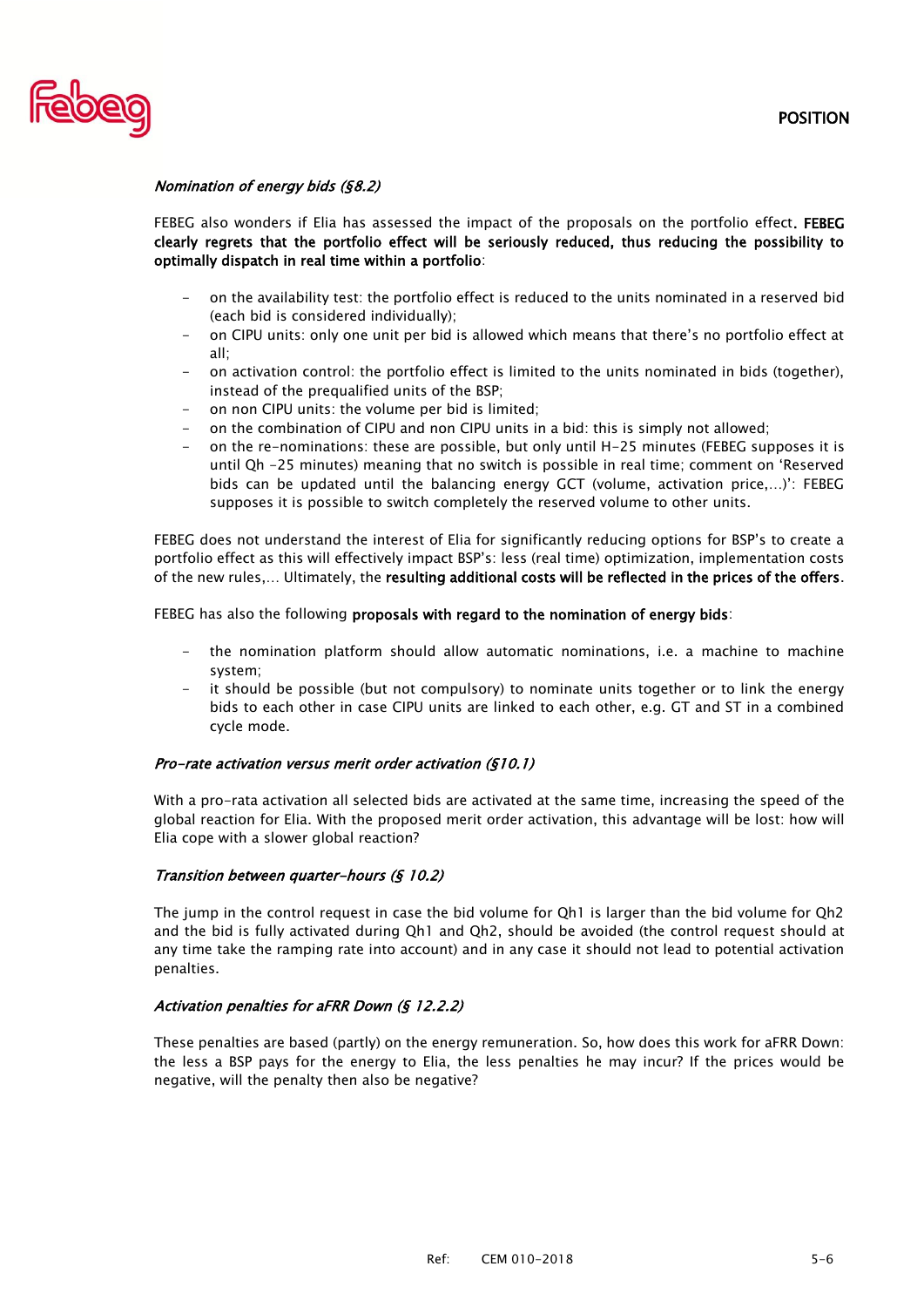

# Nomination of energy bids (§8.2)

FEBEG also wonders if Elia has assessed the impact of the proposals on the portfolio effect. FEBEG clearly regrets that the portfolio effect will be seriously reduced, thus reducing the possibility to optimally dispatch in real time within a portfolio:

- on the availability test: the portfolio effect is reduced to the units nominated in a reserved bid (each bid is considered individually);
- on CIPU units: only one unit per bid is allowed which means that there's no portfolio effect at all;
- on activation control: the portfolio effect is limited to the units nominated in bids (together), instead of the prequalified units of the BSP;
- on non CIPU units: the volume per bid is limited;
- on the combination of CIPU and non CIPU units in a bid: this is simply not allowed;
- on the re-nominations: these are possible, but only until H-25 minutes (FEBEG supposes it is until Qh -25 minutes) meaning that no switch is possible in real time; comment on 'Reserved bids can be updated until the balancing energy GCT (volume, activation price,…)': FEBEG supposes it is possible to switch completely the reserved volume to other units.

FEBEG does not understand the interest of Elia for significantly reducing options for BSP's to create a portfolio effect as this will effectively impact BSP's: less (real time) optimization, implementation costs of the new rules,… Ultimately, the resulting additional costs will be reflected in the prices of the offers.

FEBEG has also the following proposals with regard to the nomination of energy bids:

- the nomination platform should allow automatic nominations, i.e. a machine to machine system;
- it should be possible (but not compulsory) to nominate units together or to link the energy bids to each other in case CIPU units are linked to each other, e.g. GT and ST in a combined cycle mode.

## Pro-rate activation versus merit order activation (§10.1)

With a pro-rata activation all selected bids are activated at the same time, increasing the speed of the global reaction for Elia. With the proposed merit order activation, this advantage will be lost: how will Elia cope with a slower global reaction?

### Transition between quarter-hours (§ 10.2)

The jump in the control request in case the bid volume for Qh1 is larger than the bid volume for Qh2 and the bid is fully activated during Qh1 and Qh2, should be avoided (the control request should at any time take the ramping rate into account) and in any case it should not lead to potential activation penalties.

### Activation penalties for aFRR Down (§ 12.2.2)

These penalties are based (partly) on the energy remuneration. So, how does this work for aFRR Down: the less a BSP pays for the energy to Elia, the less penalties he may incur? If the prices would be negative, will the penalty then also be negative?